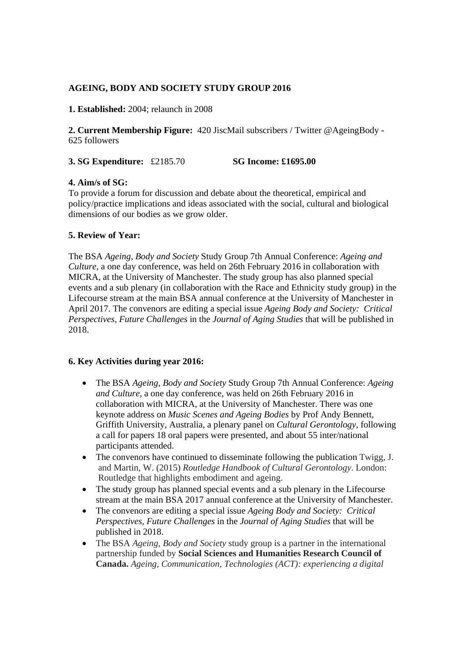# **AGEING, BODY AND SOCIETY STUDY GROUP 2016**

**1. Established:** 2004; relaunch in 2008

**2. Current Membership Figure:** 420 JiscMail subscribers / Twitter @AgeingBody - 625 followers

**3. SG Expenditure:** £2185.70 **SG Income: £1695.00**

### **4. Aim/s of SG:**

To provide a forum for discussion and debate about the theoretical, empirical and policy/practice implications and ideas associated with the social, cultural and biological dimensions of our bodies as we grow older.

### **5. Review of Year:**

The BSA *Ageing, Body and Society* Study Group 7th Annual Conference: *Ageing and Culture*, a one day conference, was held on 26th February 2016 in collaboration with MICRA, at the University of Manchester. The study group has also planned special events and a sub plenary (in collaboration with the Race and Ethnicity study group) in the Lifecourse stream at the main BSA annual conference at the University of Manchester in April 2017. The convenors are editing a special issue *Ageing Body and Society: Critical Perspectives, Future Challenges* in the *Journal of Aging Studies* that will be published in 2018.

#### **6. Key Activities during year 2016:**

- The BSA *Ageing, Body and Society* Study Group 7th Annual Conference: *Ageing and Culture*, a one day conference, was held on 26th February 2016 in collaboration with MICRA, at the University of Manchester. There was one keynote address on *Music Scenes and Ageing Bodies* by Prof Andy Bennett, Griffith University, Australia, a plenary panel on *Cultural Gerontology,* following a call for papers 18 oral papers were presented, and about 55 inter/national participants attended.
- The convenors have continued to disseminate following the publication Twigg, J. and Martin, W. (2015) *Routledge Handbook of Cultural Gerontology*. London: Routledge that highlights embodiment and ageing.
- The study group has planned special events and a sub plenary in the Lifecourse stream at the main BSA 2017 annual conference at the University of Manchester.
- The convenors are editing a special issue *Ageing Body and Society: Critical Perspectives, Future Challenges* in the *Journal of Aging Studies* that will be published in 2018.
- The BSA *Ageing, Body and Society* study group is a partner in the international partnership funded by **Social Sciences and Humanities Research Council of Canada.** *Ageing, Communication, Technologies (ACT): experiencing a digital*